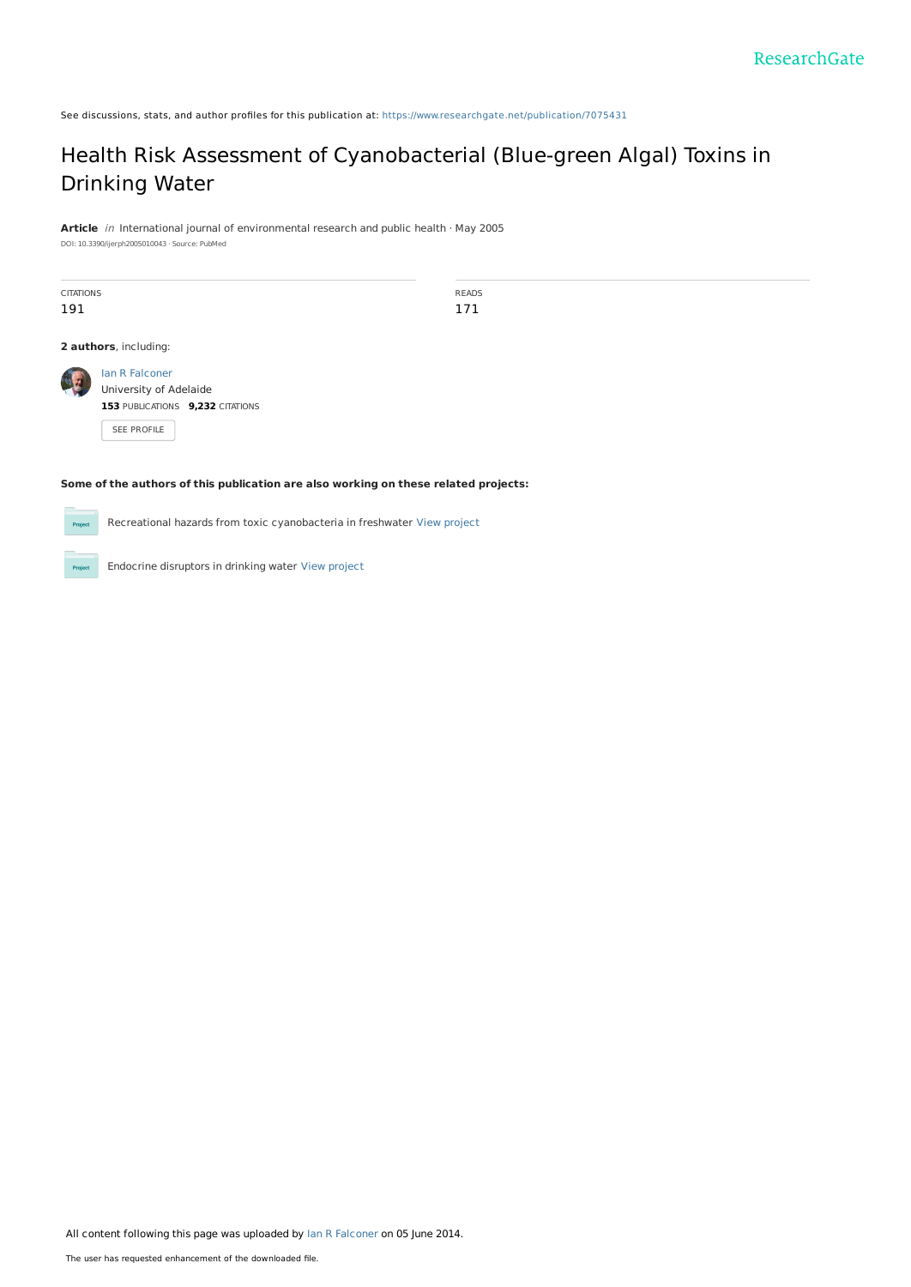See discussions, stats, and author profiles for this publication at: [https://www.researchgate.net/publication/7075431](https://www.researchgate.net/publication/7075431_Health_Risk_Assessment_of_Cyanobacterial_Blue-green_Algal_Toxins_in_Drinking_Water?enrichId=rgreq-4a3cbe40205af7e44374f262c1a73433-XXX&enrichSource=Y292ZXJQYWdlOzcwNzU0MzE7QVM6MTA0NTIwMTY0MDUyOTkzQDE0MDE5MzA5NTc4NDc%3D&el=1_x_2&_esc=publicationCoverPdf)

# Health Risk Assessment of [Cyanobacterial](https://www.researchgate.net/publication/7075431_Health_Risk_Assessment_of_Cyanobacterial_Blue-green_Algal_Toxins_in_Drinking_Water?enrichId=rgreq-4a3cbe40205af7e44374f262c1a73433-XXX&enrichSource=Y292ZXJQYWdlOzcwNzU0MzE7QVM6MTA0NTIwMTY0MDUyOTkzQDE0MDE5MzA5NTc4NDc%3D&el=1_x_3&_esc=publicationCoverPdf) (Blue-green Algal) Toxins in Drinking Water

**Article** in International journal of environmental research and public health · May 2005 DOI: 10.3390/ijerph2005010043 · Source: PubMed

| <b>CITATIONS</b><br>191 |                                                                                             | <b>READS</b><br>171 |
|-------------------------|---------------------------------------------------------------------------------------------|---------------------|
| 2 authors, including:   |                                                                                             |                     |
|                         | Ian R Falconer<br>University of Adelaide<br>153 PUBLICATIONS 9,232 CITATIONS<br>SEE PROFILE |                     |
|                         |                                                                                             |                     |

### **Some of the authors of this publication are also working on these related projects:**



Recreational hazards from toxic cyanobacteria in freshwater View [project](https://www.researchgate.net/project/Recreational-hazards-from-toxic-cyanobacteria-in-freshwater?enrichId=rgreq-4a3cbe40205af7e44374f262c1a73433-XXX&enrichSource=Y292ZXJQYWdlOzcwNzU0MzE7QVM6MTA0NTIwMTY0MDUyOTkzQDE0MDE5MzA5NTc4NDc%3D&el=1_x_9&_esc=publicationCoverPdf)



All content following this page was uploaded by Ian R [Falconer](https://www.researchgate.net/profile/Ian_Falconer?enrichId=rgreq-4a3cbe40205af7e44374f262c1a73433-XXX&enrichSource=Y292ZXJQYWdlOzcwNzU0MzE7QVM6MTA0NTIwMTY0MDUyOTkzQDE0MDE5MzA5NTc4NDc%3D&el=1_x_10&_esc=publicationCoverPdf) on 05 June 2014.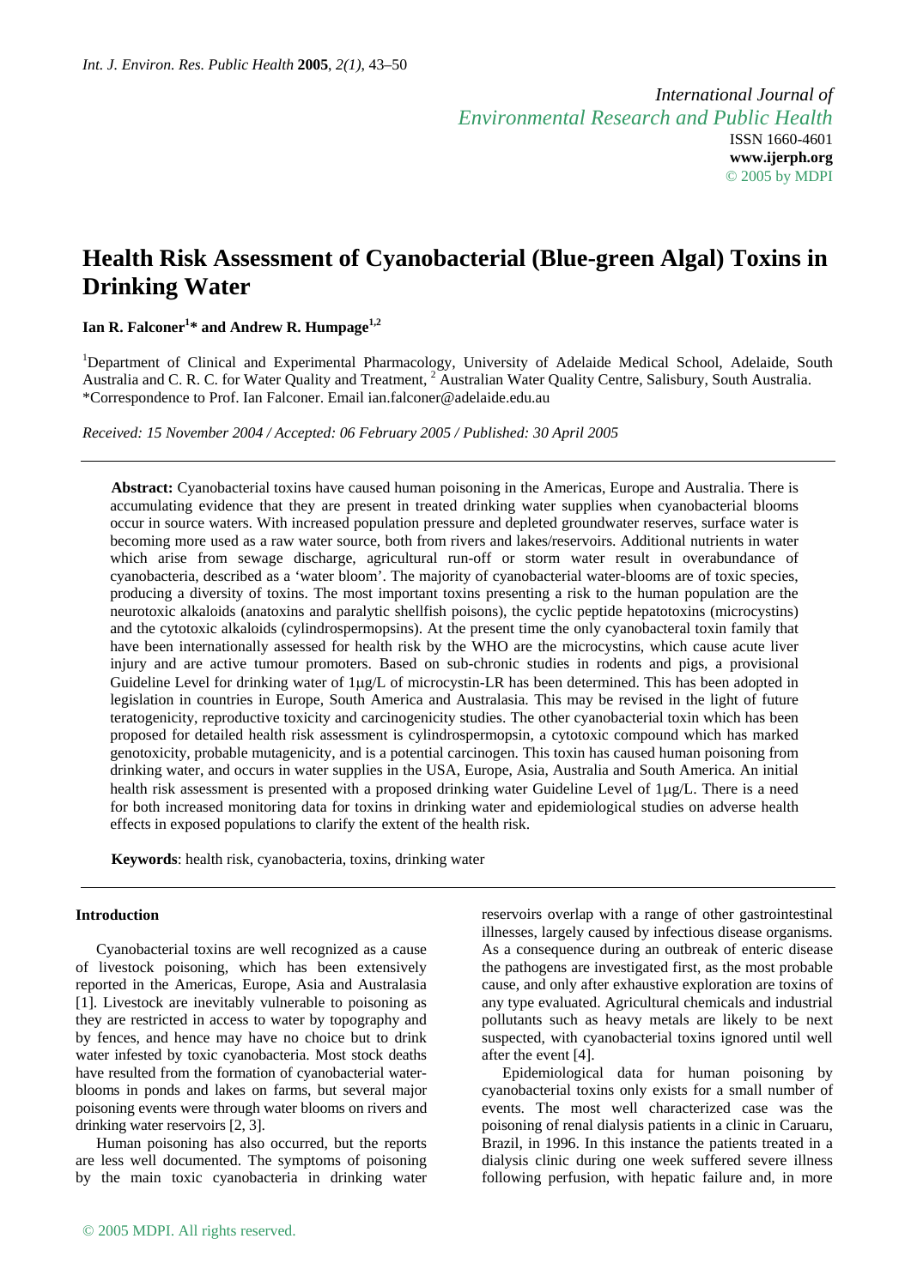# **Health Risk Assessment of Cyanobacterial (Blue-green Algal) Toxins in Drinking Water**

Ian R. Falconer<sup>1</sup>\* and Andrew R. Humpage<sup>1,2</sup>

<sup>1</sup>Department of Clinical and Experimental Pharmacology, University of Adelaide Medical School, Adelaide, South Australia and C. R. C. for Water Quality and Treatment, <sup>2</sup> Australian Water Quality Centre, Salisbury, South Australia. \*Correspondence to Prof. Ian Falconer. Email ian.falconer@adelaide.edu.au

*Received: 15 November 2004 / Accepted: 06 February 2005 / Published: 30 April 2005* 

**Abstract:** Cyanobacterial toxins have caused human poisoning in the Americas, Europe and Australia. There is accumulating evidence that they are present in treated drinking water supplies when cyanobacterial blooms occur in source waters. With increased population pressure and depleted groundwater reserves, surface water is becoming more used as a raw water source, both from rivers and lakes/reservoirs. Additional nutrients in water which arise from sewage discharge, agricultural run-off or storm water result in overabundance of cyanobacteria, described as a 'water bloom'. The majority of cyanobacterial water-blooms are of toxic species, producing a diversity of toxins. The most important toxins presenting a risk to the human population are the neurotoxic alkaloids (anatoxins and paralytic shellfish poisons), the cyclic peptide hepatotoxins (microcystins) and the cytotoxic alkaloids (cylindrospermopsins). At the present time the only cyanobacteral toxin family that have been internationally assessed for health risk by the WHO are the microcystins, which cause acute liver injury and are active tumour promoters. Based on sub-chronic studies in rodents and pigs, a provisional Guideline Level for drinking water of 1μg/L of microcystin-LR has been determined. This has been adopted in legislation in countries in Europe, South America and Australasia. This may be revised in the light of future teratogenicity, reproductive toxicity and carcinogenicity studies. The other cyanobacterial toxin which has been proposed for detailed health risk assessment is cylindrospermopsin, a cytotoxic compound which has marked genotoxicity, probable mutagenicity, and is a potential carcinogen. This toxin has caused human poisoning from drinking water, and occurs in water supplies in the USA, Europe, Asia, Australia and South America. An initial health risk assessment is presented with a proposed drinking water Guideline Level of 1μg/L. There is a need for both increased monitoring data for toxins in drinking water and epidemiological studies on adverse health effects in exposed populations to clarify the extent of the health risk.

**Keywords**: health risk, cyanobacteria, toxins, drinking water

## **Introduction**

Cyanobacterial toxins are well recognized as a cause of livestock poisoning, which has been extensively reported in the Americas, Europe, Asia and Australasia [1]. Livestock are inevitably vulnerable to poisoning as they are restricted in access to water by topography and by fences, and hence may have no choice but to drink water infested by toxic cyanobacteria. Most stock deaths have resulted from the formation of cyanobacterial waterblooms in ponds and lakes on farms, but several major poisoning events were through water blooms on rivers and drinking water reservoirs [2, 3].

Human poisoning has also occurred, but the reports are less well documented. The symptoms of poisoning by the main toxic cyanobacteria in drinking water reservoirs overlap with a range of other gastrointestinal illnesses, largely caused by infectious disease organisms. As a consequence during an outbreak of enteric disease the pathogens are investigated first, as the most probable cause, and only after exhaustive exploration are toxins of any type evaluated. Agricultural chemicals and industrial pollutants such as heavy metals are likely to be next suspected, with cyanobacterial toxins ignored until well after the event [4].

Epidemiological data for human poisoning by cyanobacterial toxins only exists for a small number of events. The most well characterized case was the poisoning of renal dialysis patients in a clinic in Caruaru, Brazil, in 1996. In this instance the patients treated in a dialysis clinic during one week suffered severe illness following perfusion, with hepatic failure and, in more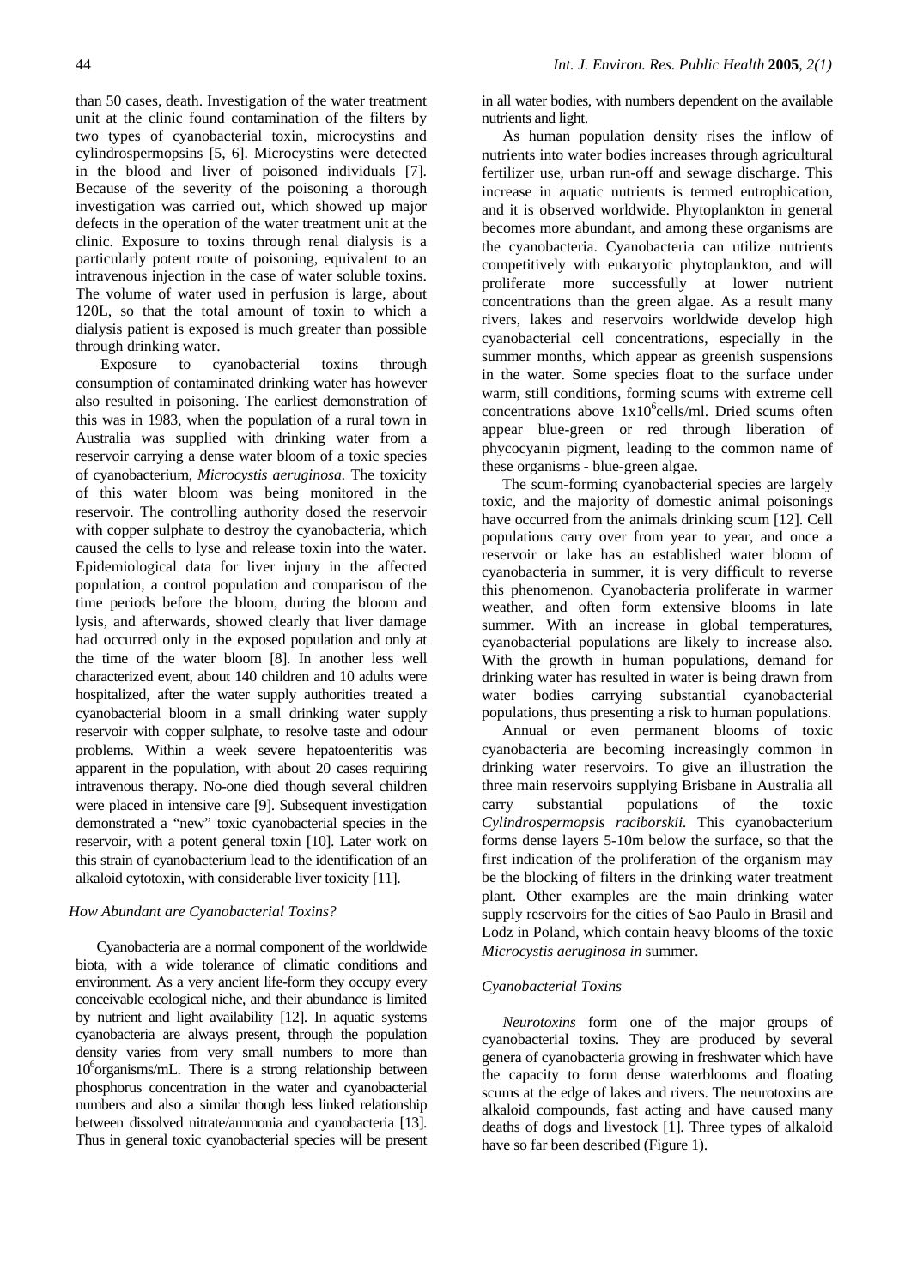than 50 cases, death. Investigation of the water treatment unit at the clinic found contamination of the filters by two types of cyanobacterial toxin, microcystins and cylindrospermopsins [5, 6]. Microcystins were detected in the blood and liver of poisoned individuals [7]. Because of the severity of the poisoning a thorough investigation was carried out, which showed up major defects in the operation of the water treatment unit at the clinic. Exposure to toxins through renal dialysis is a particularly potent route of poisoning, equivalent to an intravenous injection in the case of water soluble toxins. The volume of water used in perfusion is large, about 120L, so that the total amount of toxin to which a dialysis patient is exposed is much greater than possible through drinking water.

 Exposure to cyanobacterial toxins through consumption of contaminated drinking water has however also resulted in poisoning. The earliest demonstration of this was in 1983, when the population of a rural town in Australia was supplied with drinking water from a reservoir carrying a dense water bloom of a toxic species of cyanobacterium, *Microcystis aeruginosa.* The toxicity of this water bloom was being monitored in the reservoir. The controlling authority dosed the reservoir with copper sulphate to destroy the cyanobacteria, which caused the cells to lyse and release toxin into the water. Epidemiological data for liver injury in the affected population, a control population and comparison of the time periods before the bloom, during the bloom and lysis, and afterwards, showed clearly that liver damage had occurred only in the exposed population and only at the time of the water bloom [8]. In another less well characterized event, about 140 children and 10 adults were hospitalized, after the water supply authorities treated a cyanobacterial bloom in a small drinking water supply reservoir with copper sulphate, to resolve taste and odour problems. Within a week severe hepatoenteritis was apparent in the population, with about 20 cases requiring intravenous therapy. No-one died though several children were placed in intensive care [9]. Subsequent investigation demonstrated a "new" toxic cyanobacterial species in the reservoir, with a potent general toxin [10]. Later work on this strain of cyanobacterium lead to the identification of an alkaloid cytotoxin, with considerable liver toxicity [11].

### *How Abundant are Cyanobacterial Toxins?*

Cyanobacteria are a normal component of the worldwide biota, with a wide tolerance of climatic conditions and environment. As a very ancient life-form they occupy every conceivable ecological niche, and their abundance is limited by nutrient and light availability [12]. In aquatic systems cyanobacteria are always present, through the population density varies from very small numbers to more than 106 organisms/mL. There is a strong relationship between phosphorus concentration in the water and cyanobacterial numbers and also a similar though less linked relationship between dissolved nitrate/ammonia and cyanobacteria [13]. Thus in general toxic cyanobacterial species will be present

in all water bodies, with numbers dependent on the available nutrients and light.

As human population density rises the inflow of nutrients into water bodies increases through agricultural fertilizer use, urban run-off and sewage discharge. This increase in aquatic nutrients is termed eutrophication, and it is observed worldwide. Phytoplankton in general becomes more abundant, and among these organisms are the cyanobacteria. Cyanobacteria can utilize nutrients competitively with eukaryotic phytoplankton, and will proliferate more successfully at lower nutrient concentrations than the green algae. As a result many rivers, lakes and reservoirs worldwide develop high cyanobacterial cell concentrations, especially in the summer months, which appear as greenish suspensions in the water. Some species float to the surface under warm, still conditions, forming scums with extreme cell concentrations above  $1x10^6$ cells/ml. Dried scums often appear blue-green or red through liberation of phycocyanin pigment, leading to the common name of these organisms - blue-green algae.

The scum-forming cyanobacterial species are largely toxic, and the majority of domestic animal poisonings have occurred from the animals drinking scum [12]. Cell populations carry over from year to year, and once a reservoir or lake has an established water bloom of cyanobacteria in summer, it is very difficult to reverse this phenomenon. Cyanobacteria proliferate in warmer weather, and often form extensive blooms in late summer. With an increase in global temperatures, cyanobacterial populations are likely to increase also. With the growth in human populations, demand for drinking water has resulted in water is being drawn from water bodies carrying substantial cyanobacterial populations, thus presenting a risk to human populations.

Annual or even permanent blooms of toxic cyanobacteria are becoming increasingly common in drinking water reservoirs. To give an illustration the three main reservoirs supplying Brisbane in Australia all carry substantial populations of the toxic *Cylindrospermopsis raciborskii.* This cyanobacterium forms dense layers 5-10m below the surface, so that the first indication of the proliferation of the organism may be the blocking of filters in the drinking water treatment plant. Other examples are the main drinking water supply reservoirs for the cities of Sao Paulo in Brasil and Lodz in Poland, which contain heavy blooms of the toxic *Microcystis aeruginosa in* summer.

## *Cyanobacterial Toxins*

*Neurotoxins* form one of the major groups of cyanobacterial toxins. They are produced by several genera of cyanobacteria growing in freshwater which have the capacity to form dense waterblooms and floating scums at the edge of lakes and rivers. The neurotoxins are alkaloid compounds, fast acting and have caused many deaths of dogs and livestock [1]. Three types of alkaloid have so far been described (Figure 1).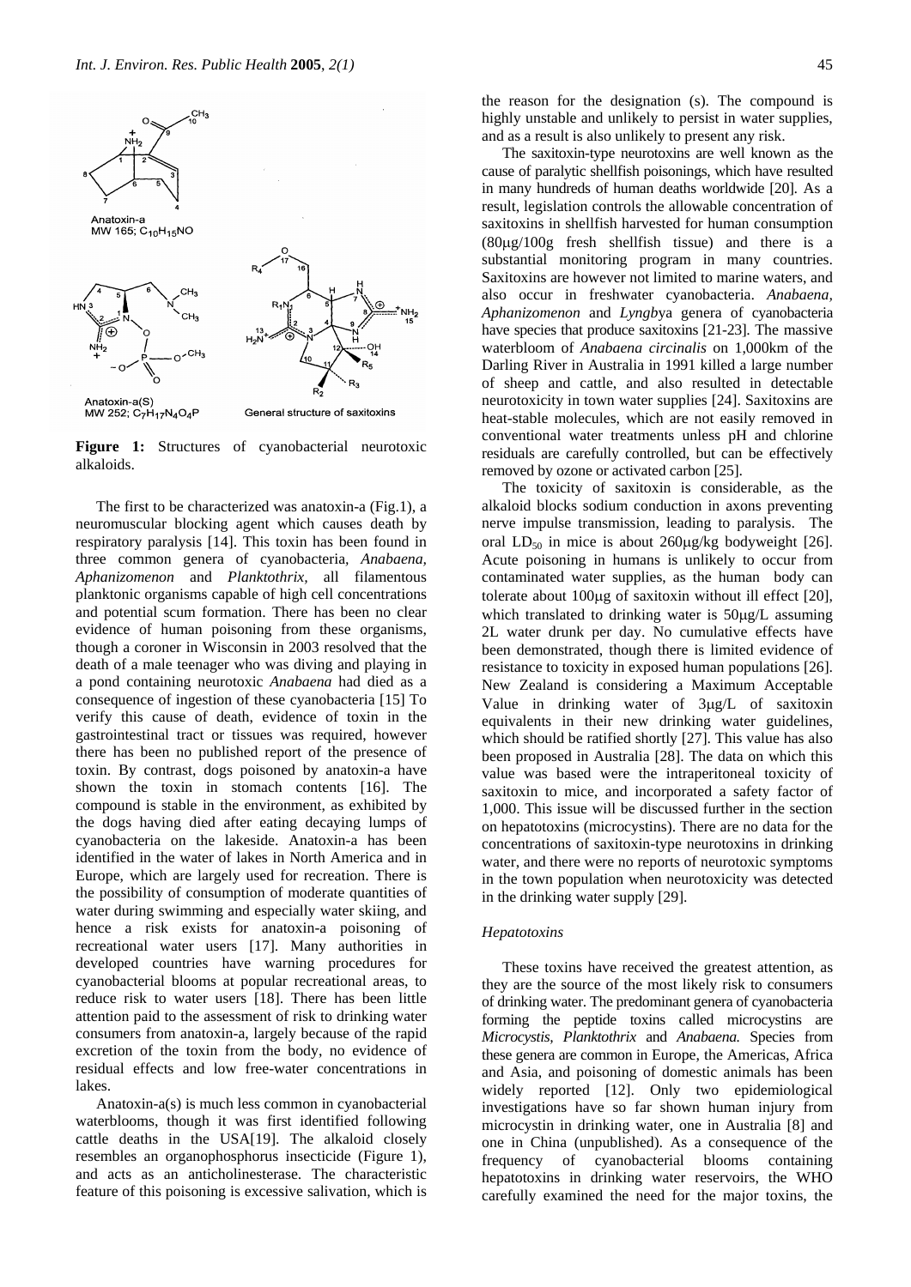

**Figure 1:** Structures of cyanobacterial neurotoxic alkaloids.

The first to be characterized was anatoxin-a (Fig.1), a neuromuscular blocking agent which causes death by respiratory paralysis [14]. This toxin has been found in three common genera of cyanobacteria*, Anabaena, Aphanizomenon* and *Planktothrix,* all filamentous planktonic organisms capable of high cell concentrations and potential scum formation. There has been no clear evidence of human poisoning from these organisms, though a coroner in Wisconsin in 2003 resolved that the death of a male teenager who was diving and playing in a pond containing neurotoxic *Anabaena* had died as a consequence of ingestion of these cyanobacteria [15] To verify this cause of death, evidence of toxin in the gastrointestinal tract or tissues was required, however there has been no published report of the presence of toxin. By contrast, dogs poisoned by anatoxin-a have shown the toxin in stomach contents [16]. The compound is stable in the environment, as exhibited by the dogs having died after eating decaying lumps of cyanobacteria on the lakeside. Anatoxin-a has been identified in the water of lakes in North America and in Europe, which are largely used for recreation. There is the possibility of consumption of moderate quantities of water during swimming and especially water skiing, and hence a risk exists for anatoxin-a poisoning of recreational water users [17]. Many authorities in developed countries have warning procedures for cyanobacterial blooms at popular recreational areas, to reduce risk to water users [18]. There has been little attention paid to the assessment of risk to drinking water consumers from anatoxin-a, largely because of the rapid excretion of the toxin from the body, no evidence of residual effects and low free-water concentrations in lakes.

Anatoxin-a(s) is much less common in cyanobacterial waterblooms, though it was first identified following cattle deaths in the USA[19]. The alkaloid closely resembles an organophosphorus insecticide (Figure 1), and acts as an anticholinesterase. The characteristic feature of this poisoning is excessive salivation, which is

the reason for the designation (s). The compound is highly unstable and unlikely to persist in water supplies, and as a result is also unlikely to present any risk.

The saxitoxin-type neurotoxins are well known as the cause of paralytic shellfish poisonings, which have resulted in many hundreds of human deaths worldwide [20]. As a result, legislation controls the allowable concentration of saxitoxins in shellfish harvested for human consumption (80μg/100g fresh shellfish tissue) and there is a substantial monitoring program in many countries. Saxitoxins are however not limited to marine waters, and also occur in freshwater cyanobacteria. *Anabaena, Aphanizomenon* and *Lyngb*ya genera of cyanobacteria have species that produce saxitoxins [21-23]. The massive waterbloom of *Anabaena circinalis* on 1,000km of the Darling River in Australia in 1991 killed a large number of sheep and cattle, and also resulted in detectable neurotoxicity in town water supplies [24]. Saxitoxins are heat-stable molecules, which are not easily removed in conventional water treatments unless pH and chlorine residuals are carefully controlled, but can be effectively removed by ozone or activated carbon [25].

The toxicity of saxitoxin is considerable, as the alkaloid blocks sodium conduction in axons preventing nerve impulse transmission, leading to paralysis. The oral  $LD_{50}$  in mice is about 260 $\mu$ g/kg bodyweight [26]. Acute poisoning in humans is unlikely to occur from contaminated water supplies, as the human body can tolerate about 100μg of saxitoxin without ill effect [20], which translated to drinking water is 50μg/L assuming 2L water drunk per day. No cumulative effects have been demonstrated, though there is limited evidence of resistance to toxicity in exposed human populations [26]. New Zealand is considering a Maximum Acceptable Value in drinking water of 3μg/L of saxitoxin equivalents in their new drinking water guidelines, which should be ratified shortly [27]. This value has also been proposed in Australia [28]. The data on which this value was based were the intraperitoneal toxicity of saxitoxin to mice, and incorporated a safety factor of 1,000. This issue will be discussed further in the section on hepatotoxins (microcystins). There are no data for the concentrations of saxitoxin-type neurotoxins in drinking water, and there were no reports of neurotoxic symptoms in the town population when neurotoxicity was detected in the drinking water supply [29].

### *Hepatotoxins*

These toxins have received the greatest attention, as they are the source of the most likely risk to consumers of drinking water. The predominant genera of cyanobacteria forming the peptide toxins called microcystins are *Microcystis, Planktothrix* and *Anabaena.* Species from these genera are common in Europe, the Americas, Africa and Asia, and poisoning of domestic animals has been widely reported [12]. Only two epidemiological investigations have so far shown human injury from microcystin in drinking water, one in Australia [8] and one in China (unpublished). As a consequence of the frequency of cyanobacterial blooms containing hepatotoxins in drinking water reservoirs, the WHO carefully examined the need for the major toxins, the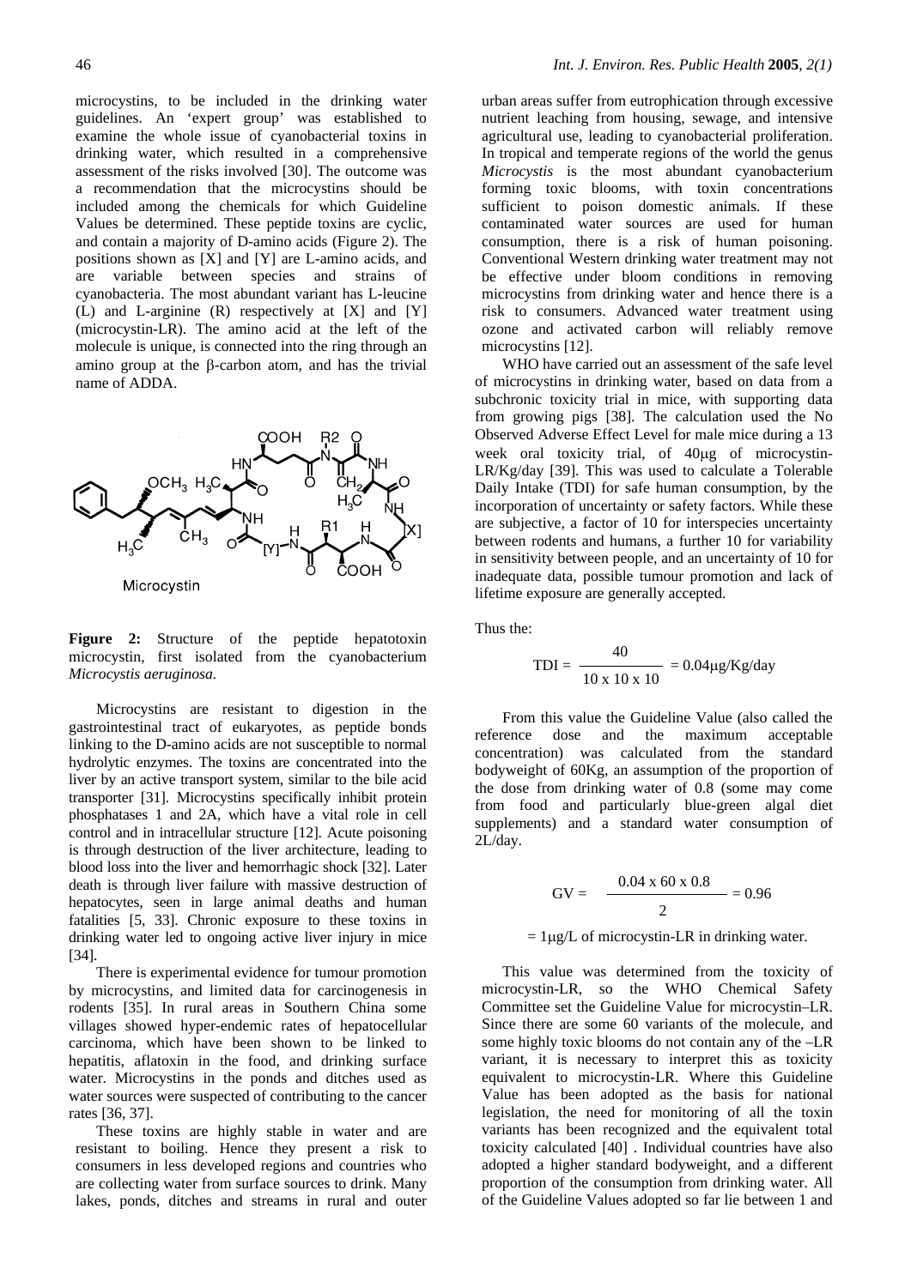microcystins, to be included in the drinking water guidelines. An 'expert group' was established to examine the whole issue of cyanobacterial toxins in drinking water, which resulted in a comprehensive assessment of the risks involved [30]. The outcome was a recommendation that the microcystins should be included among the chemicals for which Guideline Values be determined. These peptide toxins are cyclic, and contain a majority of D-amino acids (Figure 2). The positions shown as [X] and [Y] are L-amino acids, and are variable between species and strains of cyanobacteria. The most abundant variant has L-leucine (L) and L-arginine (R) respectively at [X] and [Y] (microcystin-LR). The amino acid at the left of the molecule is unique, is connected into the ring through an amino group at the β-carbon atom, and has the trivial name of ADDA.



**Figure 2:** Structure of the peptide hepatotoxin microcystin, first isolated from the cyanobacterium *Microcystis aeruginosa.* 

Microcystins are resistant to digestion in the gastrointestinal tract of eukaryotes, as peptide bonds linking to the D-amino acids are not susceptible to normal hydrolytic enzymes. The toxins are concentrated into the liver by an active transport system, similar to the bile acid transporter [31]. Microcystins specifically inhibit protein phosphatases 1 and 2A, which have a vital role in cell control and in intracellular structure [12]. Acute poisoning is through destruction of the liver architecture, leading to blood loss into the liver and hemorrhagic shock [32]. Later death is through liver failure with massive destruction of hepatocytes, seen in large animal deaths and human fatalities [5, 33]. Chronic exposure to these toxins in drinking water led to ongoing active liver injury in mice [34].

There is experimental evidence for tumour promotion by microcystins, and limited data for carcinogenesis in rodents [35]. In rural areas in Southern China some villages showed hyper-endemic rates of hepatocellular carcinoma, which have been shown to be linked to hepatitis, aflatoxin in the food, and drinking surface water. Microcystins in the ponds and ditches used as water sources were suspected of contributing to the cancer rates [36, 37].

These toxins are highly stable in water and are resistant to boiling. Hence they present a risk to consumers in less developed regions and countries who are collecting water from surface sources to drink. Many lakes, ponds, ditches and streams in rural and outer

urban areas suffer from eutrophication through excessive nutrient leaching from housing, sewage, and intensive agricultural use, leading to cyanobacterial proliferation. In tropical and temperate regions of the world the genus *Microcystis* is the most abundant cyanobacterium forming toxic blooms, with toxin concentrations sufficient to poison domestic animals. If these contaminated water sources are used for human consumption, there is a risk of human poisoning. Conventional Western drinking water treatment may not be effective under bloom conditions in removing microcystins from drinking water and hence there is a risk to consumers. Advanced water treatment using ozone and activated carbon will reliably remove microcystins [12].

WHO have carried out an assessment of the safe level of microcystins in drinking water, based on data from a subchronic toxicity trial in mice, with supporting data from growing pigs [38]. The calculation used the No Observed Adverse Effect Level for male mice during a 13 week oral toxicity trial, of 40μg of microcystin-LR/Kg/day [39]. This was used to calculate a Tolerable Daily Intake (TDI) for safe human consumption, by the incorporation of uncertainty or safety factors. While these are subjective, a factor of 10 for interspecies uncertainty between rodents and humans, a further 10 for variability in sensitivity between people, and an uncertainty of 10 for inadequate data, possible tumour promotion and lack of lifetime exposure are generally accepted.

Thus the:

$$
TDI = \frac{40}{10 \times 10 \times 10} = 0.04 \mu g / Kg/day
$$

From this value the Guideline Value (also called the reference dose and the maximum acceptable concentration) was calculated from the standard bodyweight of 60Kg, an assumption of the proportion of the dose from drinking water of 0.8 (some may come from food and particularly blue-green algal diet supplements) and a standard water consumption of 2L/day.

$$
GV = \frac{0.04 \times 60 \times 0.8}{2} = 0.96
$$

 $= 1 \mu g/L$  of microcystin-LR in drinking water.

This value was determined from the toxicity of microcystin-LR, so the WHO Chemical Safety Committee set the Guideline Value for microcystin–LR. Since there are some 60 variants of the molecule, and some highly toxic blooms do not contain any of the –LR variant, it is necessary to interpret this as toxicity equivalent to microcystin-LR. Where this Guideline Value has been adopted as the basis for national legislation, the need for monitoring of all the toxin variants has been recognized and the equivalent total toxicity calculated [40] . Individual countries have also adopted a higher standard bodyweight, and a different proportion of the consumption from drinking water. All of the Guideline Values adopted so far lie between 1 and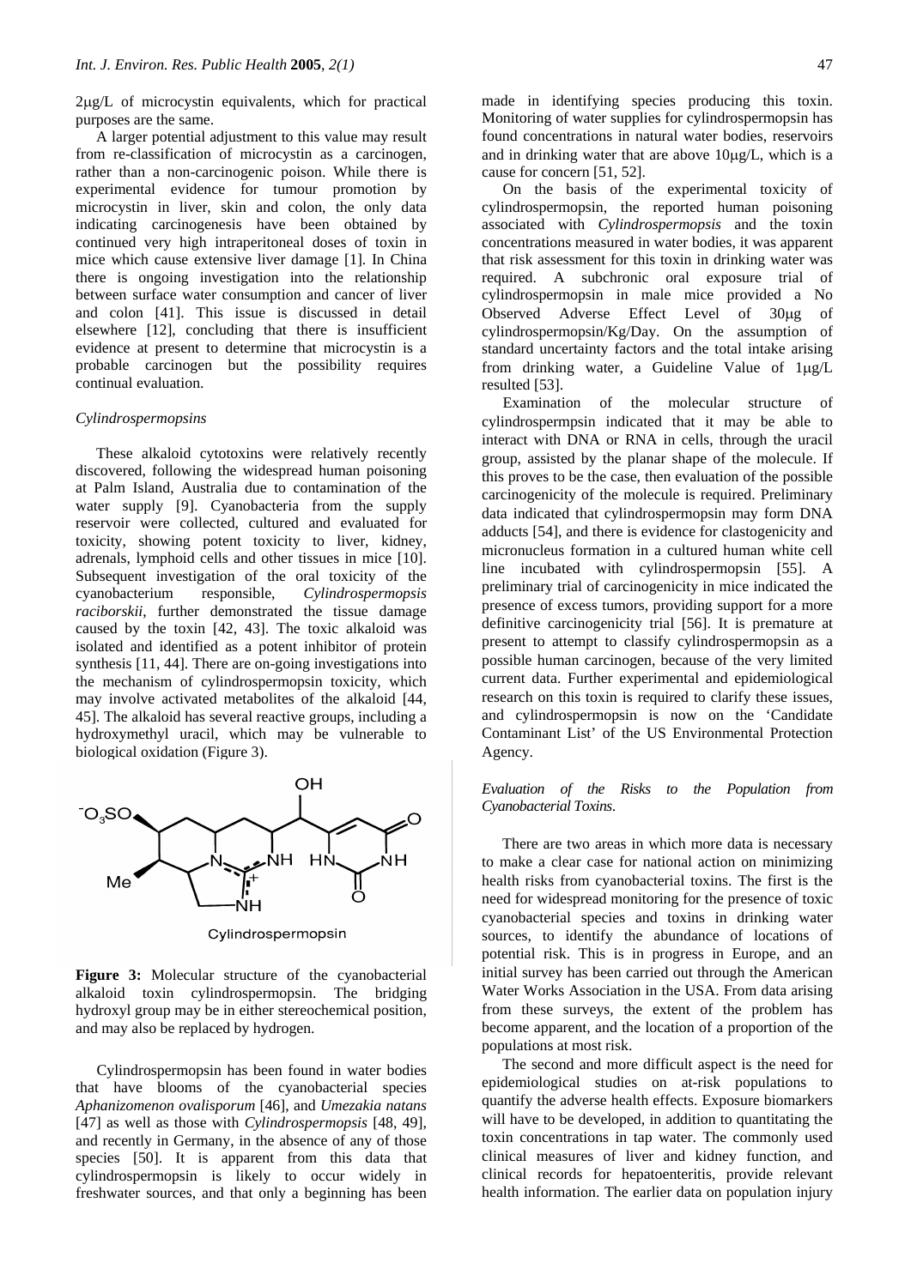2μg/L of microcystin equivalents, which for practical purposes are the same.

A larger potential adjustment to this value may result from re-classification of microcystin as a carcinogen, rather than a non-carcinogenic poison. While there is experimental evidence for tumour promotion by microcystin in liver, skin and colon, the only data indicating carcinogenesis have been obtained by continued very high intraperitoneal doses of toxin in mice which cause extensive liver damage [1]. In China there is ongoing investigation into the relationship between surface water consumption and cancer of liver and colon [41]. This issue is discussed in detail elsewhere [12], concluding that there is insufficient evidence at present to determine that microcystin is a probable carcinogen but the possibility requires continual evaluation.

### *Cylindrospermopsins*

These alkaloid cytotoxins were relatively recently discovered, following the widespread human poisoning at Palm Island, Australia due to contamination of the water supply [9]. Cyanobacteria from the supply reservoir were collected, cultured and evaluated for toxicity, showing potent toxicity to liver, kidney, adrenals, lymphoid cells and other tissues in mice [10]. Subsequent investigation of the oral toxicity of the cyanobacterium responsible, *Cylindrospermopsis raciborskii*, further demonstrated the tissue damage caused by the toxin [42, 43]. The toxic alkaloid was isolated and identified as a potent inhibitor of protein synthesis [11, 44]. There are on-going investigations into the mechanism of cylindrospermopsin toxicity, which may involve activated metabolites of the alkaloid [44, 45]. The alkaloid has several reactive groups, including a hydroxymethyl uracil, which may be vulnerable to biological oxidation (Figure 3).



Cylindrospermopsin

**Figure 3:** Molecular structure of the cyanobacterial alkaloid toxin cylindrospermopsin. The bridging hydroxyl group may be in either stereochemical position, and may also be replaced by hydrogen.

Cylindrospermopsin has been found in water bodies that have blooms of the cyanobacterial species *Aphanizomenon ovalisporum* [46], and *Umezakia natans* [47] as well as those with *Cylindrospermopsis* [48, 49], and recently in Germany, in the absence of any of those species [50]. It is apparent from this data that cylindrospermopsin is likely to occur widely in freshwater sources, and that only a beginning has been

made in identifying species producing this toxin. Monitoring of water supplies for cylindrospermopsin has found concentrations in natural water bodies, reservoirs and in drinking water that are above 10μg/L, which is a cause for concern [51, 52].

On the basis of the experimental toxicity of cylindrospermopsin, the reported human poisoning associated with *Cylindrospermopsis* and the toxin concentrations measured in water bodies, it was apparent that risk assessment for this toxin in drinking water was required. A subchronic oral exposure trial of cylindrospermopsin in male mice provided a No Observed Adverse Effect Level of 30μg of cylindrospermopsin/Kg/Day. On the assumption of standard uncertainty factors and the total intake arising from drinking water, a Guideline Value of 1μg/L resulted [53].

Examination of the molecular structure of cylindrospermpsin indicated that it may be able to interact with DNA or RNA in cells, through the uracil group, assisted by the planar shape of the molecule. If this proves to be the case, then evaluation of the possible carcinogenicity of the molecule is required. Preliminary data indicated that cylindrospermopsin may form DNA adducts [54], and there is evidence for clastogenicity and micronucleus formation in a cultured human white cell line incubated with cylindrospermopsin [55]. A preliminary trial of carcinogenicity in mice indicated the presence of excess tumors, providing support for a more definitive carcinogenicity trial [56]. It is premature at present to attempt to classify cylindrospermopsin as a possible human carcinogen, because of the very limited current data. Further experimental and epidemiological research on this toxin is required to clarify these issues, and cylindrospermopsin is now on the 'Candidate Contaminant List' of the US Environmental Protection Agency.

*Evaluation of the Risks to the Population from Cyanobacterial Toxins*.

There are two areas in which more data is necessary to make a clear case for national action on minimizing health risks from cyanobacterial toxins. The first is the need for widespread monitoring for the presence of toxic cyanobacterial species and toxins in drinking water sources, to identify the abundance of locations of potential risk. This is in progress in Europe, and an initial survey has been carried out through the American Water Works Association in the USA. From data arising from these surveys, the extent of the problem has become apparent, and the location of a proportion of the populations at most risk.

The second and more difficult aspect is the need for epidemiological studies on at-risk populations to quantify the adverse health effects. Exposure biomarkers will have to be developed, in addition to quantitating the toxin concentrations in tap water. The commonly used clinical measures of liver and kidney function, and clinical records for hepatoenteritis, provide relevant health information. The earlier data on population injury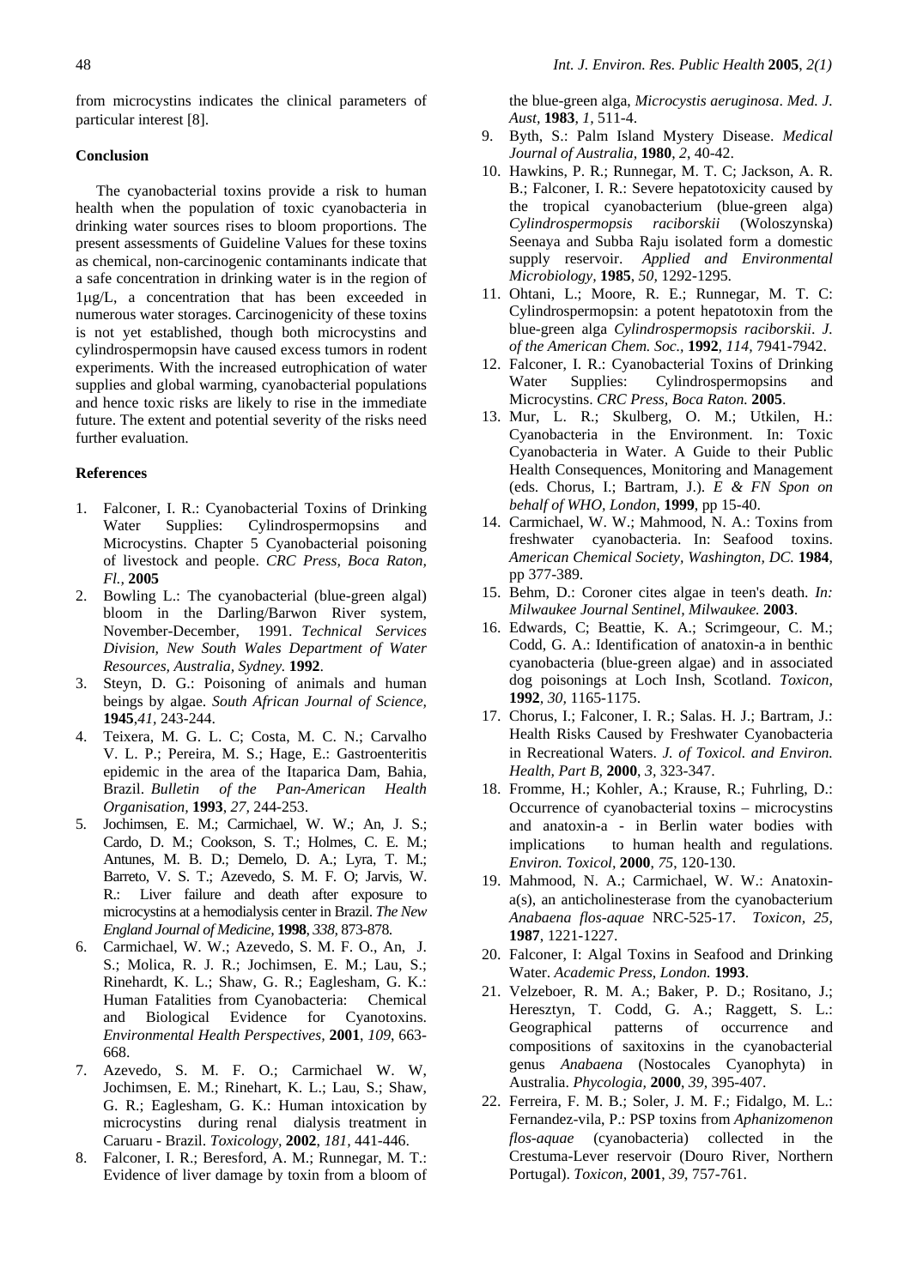from microcystins indicates the clinical parameters of particular interest [8].

## **Conclusion**

The cyanobacterial toxins provide a risk to human health when the population of toxic cyanobacteria in drinking water sources rises to bloom proportions. The present assessments of Guideline Values for these toxins as chemical, non-carcinogenic contaminants indicate that a safe concentration in drinking water is in the region of 1μg/L, a concentration that has been exceeded in numerous water storages. Carcinogenicity of these toxins is not yet established, though both microcystins and cylindrospermopsin have caused excess tumors in rodent experiments. With the increased eutrophication of water supplies and global warming, cyanobacterial populations and hence toxic risks are likely to rise in the immediate future. The extent and potential severity of the risks need further evaluation.

## **References**

- 1. Falconer, I. R.: Cyanobacterial Toxins of Drinking Water Supplies: Cylindrospermopsins and Microcystins. Chapter 5 Cyanobacterial poisoning of livestock and people. *CRC Press, Boca Raton, Fl.,* **2005**
- 2. Bowling L.: The cyanobacterial (blue-green algal) bloom in the Darling/Barwon River system, November-December, 1991. *Technical Services Division, New South Wales Department of Water Resources, Australia, Sydney.* **1992**.
- 3. Steyn, D. G.: Poisoning of animals and human beings by algae. *South African Journal of Science,*  **1945**,*41,* 243-244.
- 4. Teixera, M. G. L. C; Costa, M. C. N.; Carvalho V. L. P.; Pereira, M. S.; Hage, E.: Gastroenteritis epidemic in the area of the Itaparica Dam, Bahia, Brazil. *Bulletin of the Pan-American Health Organisation,* **1993**, *27,* 244-253.
- 5. Jochimsen, E. M.; Carmichael, W. W.; An, J. S.; Cardo, D. M.; Cookson, S. T.; Holmes, C. E. M.; Antunes, M. B. D.; Demelo, D. A.; Lyra, T. M.; Barreto, V. S. T.; Azevedo, S. M. F. O; Jarvis, W. R.: Liver failure and death after exposure to microcystins at a hemodialysis center in Brazil. *The New England Journal of Medicine,* **1998**, *338,* 873-878.
- 6. Carmichael, W. W.; Azevedo, S. M. F. O., An, J. S.; Molica, R. J. R.; Jochimsen, E. M.; Lau, S.; Rinehardt, K. L.; Shaw, G. R.; Eaglesham, G. K.: Human Fatalities from Cyanobacteria: Chemical and Biological Evidence for Cyanotoxins. *Environmental Health Perspectives,* **2001**, *109*, 663- 668.
- 7. Azevedo, S. M. F. O.; Carmichael W. W, Jochimsen, E. M.; Rinehart, K. L.; Lau, S.; Shaw, G. R.; Eaglesham, G. K.: Human intoxication by microcystins during renal dialysis treatment in Caruaru - Brazil. *Toxicology,* **2002**, *181,* 441-446.
- 8. Falconer, I. R.; Beresford, A. M.; Runnegar, M. T.: Evidence of liver damage by toxin from a bloom of

the blue-green alga, *Microcystis aeruginosa*. *Med. J. Aust,* **1983**, *1,* 511-4.

- 9. Byth, S.: Palm Island Mystery Disease. *Medical Journal of Australia,* **1980**, *2*, 40-42.
- 10. Hawkins, P. R.; Runnegar, M. T. C; Jackson, A. R. B.; Falconer, I. R.: Severe hepatotoxicity caused by the tropical cyanobacterium (blue-green alga) *Cylindrospermopsis raciborskii* (Woloszynska) Seenaya and Subba Raju isolated form a domestic supply reservoir. *Applied and Environmental Microbiology,* **1985**, *50,* 1292-1295.
- 11. Ohtani, L.; Moore, R. E.; Runnegar, M. T. C: Cylindrospermopsin: a potent hepatotoxin from the blue-green alga *Cylindrospermopsis raciborskii*. *J. of the American Chem. Soc.,* **1992***, 114,* 7941*-*7942.
- 12. Falconer, I. R.: Cyanobacterial Toxins of Drinking Water Supplies: Cylindrospermopsins and Microcystins. *CRC Press, Boca Raton.* **2005**.
- 13. Mur, L. R.; Skulberg, O. M.; Utkilen, H.: Cyanobacteria in the Environment. In: Toxic Cyanobacteria in Water. A Guide to their Public Health Consequences, Monitoring and Management (eds. Chorus, I.; Bartram, J.). *E & FN Spon on behalf of WHO, London,* **1999**, pp 15-40.
- 14. Carmichael, W. W.; Mahmood, N. A.: Toxins from freshwater cyanobacteria. In: Seafood toxins. *American Chemical Society, Washington, DC.* **1984**, pp 377-389.
- 15. Behm, D.: Coroner cites algae in teen's death. *In: Milwaukee Journal Sentinel, Milwaukee.* **2003**.
- 16. Edwards, C; Beattie, K. A.; Scrimgeour, C. M.; Codd, G. A.: Identification of anatoxin-a in benthic cyanobacteria (blue-green algae) and in associated dog poisonings at Loch Insh, Scotland. *Toxicon,*  **1992***, 30,* 1165-1175.
- 17. Chorus, I.; Falconer, I. R.; Salas. H. J.; Bartram, J.: Health Risks Caused by Freshwater Cyanobacteria in Recreational Waters. *J. of Toxicol. and Environ. Health, Part B,* **2000**, *3,* 323-347.
- 18. Fromme, H.; Kohler, A.; Krause, R.; Fuhrling, D.: Occurrence of cyanobacterial toxins – microcystins and anatoxin-a - in Berlin water bodies with implications to human health and regulations. *Environ. Toxicol,* **2000**, *75*, 120-130.
- 19. Mahmood, N. A.; Carmichael, W. W.: Anatoxina(s), an anticholinesterase from the cyanobacterium *Anabaena flos-aquae* NRC-525-17. *Toxicon, 25,*  **1987**, 1221-1227.
- 20. Falconer, I: Algal Toxins in Seafood and Drinking Water. *Academic Press, London.* **1993**.
- 21. Velzeboer, R. M. A.; Baker, P. D.; Rositano, J.; Heresztyn, T. Codd, G. A.; Raggett, S. L.: Geographical patterns of occurrence and compositions of saxitoxins in the cyanobacterial genus *Anabaena* (Nostocales Cyanophyta) in Australia. *Phycologia,* **2000**, *39,* 395-407.
- 22. Ferreira, F. M. B.; Soler, J. M. F.; Fidalgo, M. L.: Fernandez-vila, P.: PSP toxins from *Aphanizomenon flos-aquae* (cyanobacteria) collected in the Crestuma-Lever reservoir (Douro River, Northern Portugal). *Toxicon,* **2001**, *39,* 757-761.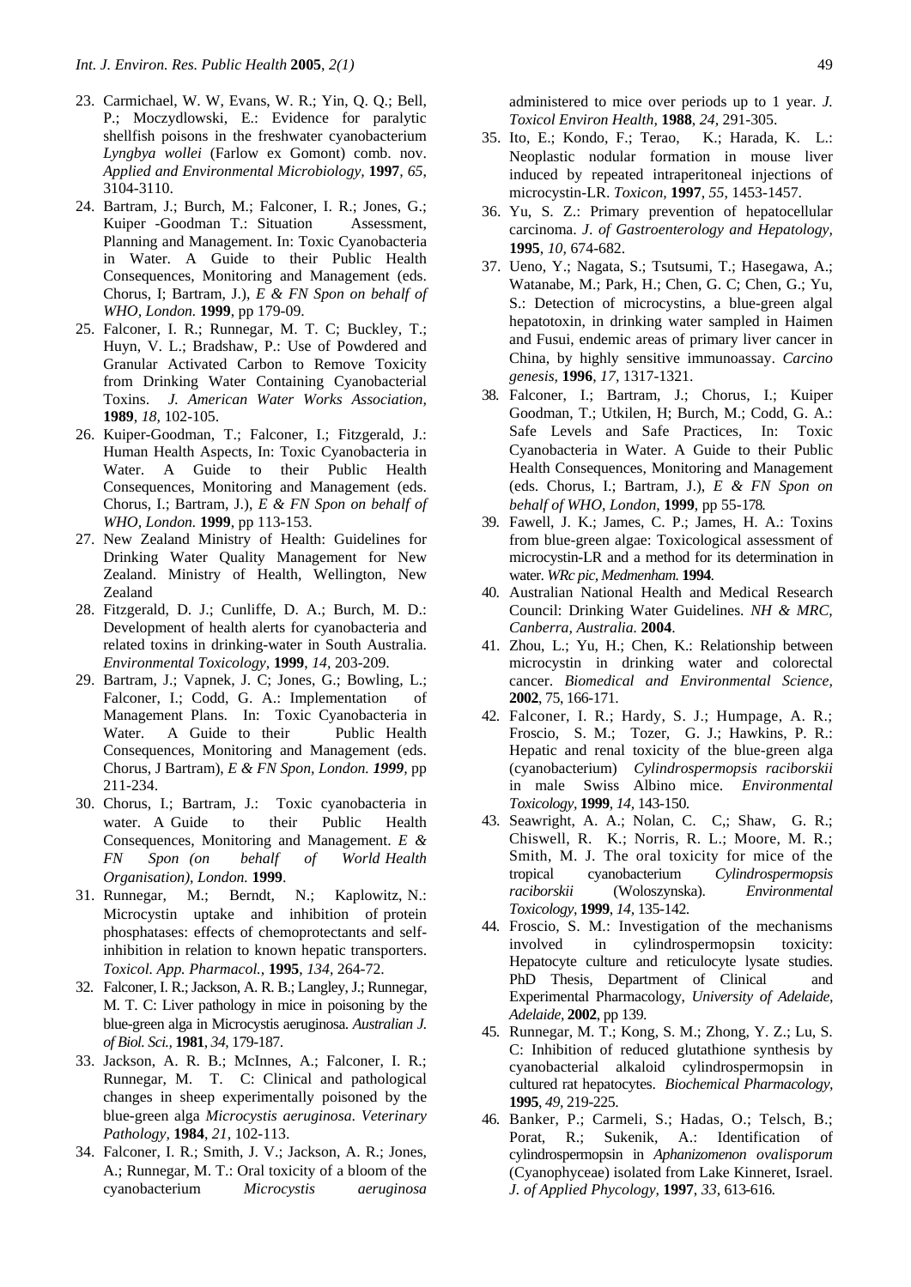- 23. Carmichael, W. W, Evans, W. R.; Yin, Q. Q.; Bell, P.; Moczydlowski, E.: Evidence for paralytic shellfish poisons in the freshwater cyanobacterium *Lyngbya wollei* (Farlow ex Gomont) comb. nov. *Applied and Environmental Microbiology,* **1997***, 65*, 3104-3110.
- 24. Bartram, J.; Burch, M.; Falconer, I. R.; Jones, G.; Kuiper -Goodman T.: Situation Assessment, Planning and Management. In: Toxic Cyanobacteria in Water. A Guide to their Public Health Consequences, Monitoring and Management (eds. Chorus, I; Bartram, J.), *E & FN Spon on behalf of WHO, London.* **1999**, pp 179-09.
- 25. Falconer, I. R.; Runnegar, M. T. C; Buckley, T.; Huyn, V. L.; Bradshaw, P.: Use of Powdered and Granular Activated Carbon to Remove Toxicity from Drinking Water Containing Cyanobacterial Toxins. *J. American Water Works Association,*  **1989**, *18,* 102-105.
- 26. Kuiper-Goodman, T.; Falconer, I.; Fitzgerald, J.: Human Health Aspects, In: Toxic Cyanobacteria in Water. A Guide to their Public Health Consequences, Monitoring and Management (eds. Chorus, I.; Bartram, J.), *E & FN Spon on behalf of WHO, London.* **1999**, pp 113-153.
- 27. New Zealand Ministry of Health: Guidelines for Drinking Water Quality Management for New Zealand. Ministry of Health, Wellington, New Zealand
- 28. Fitzgerald, D. J.; Cunliffe, D. A.; Burch, M. D.: Development of health alerts for cyanobacteria and related toxins in drinking-water in South Australia. *Environmental Toxicology,* **1999**, *14,* 203-209.
- 29. Bartram, J.; Vapnek, J. C; Jones, G.; Bowling, L.; Falconer, I.; Codd, G. A.: Implementation of Management Plans. In: Toxic Cyanobacteria in Water. A Guide to their Public Health Consequences, Monitoring and Management (eds. Chorus, J Bartram), *E & FN Spon, London. 1999,* pp 211-234.
- 30. Chorus, I.; Bartram, J.: Toxic cyanobacteria in water. A Guide to their Public Health Consequences, Monitoring and Management. *E & FN Spon (on behalf of World Health Organisation), London.* **1999**.
- 31. Runnegar, M.; Berndt, N.; Kaplowitz, N.: Microcystin uptake and inhibition of protein phosphatases: effects of chemoprotectants and selfinhibition in relation to known hepatic transporters. *Toxicol. App. Pharmacol.,* **1995**, *134,* 264-72.
- 32. Falconer, I. R.; Jackson, A. R. B.; Langley, J.; Runnegar, M. T. C: Liver pathology in mice in poisoning by the blue-green alga in Microcystis aeruginosa. *Australian J. of Biol. Sci.,* **1981**, *34,* 179-187.
- 33. Jackson, A. R. B.; McInnes, A.; Falconer, I. R.; Runnegar, M. T. C: Clinical and pathological changes in sheep experimentally poisoned by the blue-green alga *Microcystis aeruginosa*. *Veterinary Pathology,* **1984**, *21,* 102-113.
- 34. Falconer, I. R.; Smith, J. V.; Jackson, A. R.; Jones, A.; Runnegar, M. T.: Oral toxicity of a bloom of the cyanobacterium *Microcystis aeruginosa*

administered to mice over periods up to 1 year. *J. Toxicol Environ Health,* **1988**, *24,* 291-305.

- 35. Ito, E.; Kondo, F.; Terao, K.; Harada, K. L.: Neoplastic nodular formation in mouse liver induced by repeated intraperitoneal injections of microcystin-LR. *Toxicon,* **1997**, *55*, 1453-1457.
- 36. Yu, S. Z.: Primary prevention of hepatocellular carcinoma. *J*. *of Gastroenterology and Hepatology,*  **1995**, *10,* 674-682.
- 37. Ueno, Y.; Nagata, S.; Tsutsumi, T.; Hasegawa, A.; Watanabe, M.; Park, H.; Chen, G. C; Chen, G.; Yu, S.: Detection of microcystins, a blue-green algal hepatotoxin, in drinking water sampled in Haimen and Fusui, endemic areas of primary liver cancer in China, by highly sensitive immunoassay. *Carcino genesis,* **1996**, *17,* 1317-1321.
- 38. Falconer, I.; Bartram, J.; Chorus, I.; Kuiper Goodman, T.; Utkilen, H; Burch, M.; Codd, G. A.: Safe Levels and Safe Practices, In: Toxic Cyanobacteria in Water. A Guide to their Public Health Consequences, Monitoring and Management (eds. Chorus, I.; Bartram, J.), *E & FN Spon on behalf of WHO, London,* **1999**, pp 55-178.
- 39. Fawell, J. K.; James, C. P.; James, H. A.: Toxins from blue-green algae: Toxicological assessment of microcystin-LR and a method for its determination in water. *WRc pic, Medmenham.* **1994**.
- 40. Australian National Health and Medical Research Council: Drinking Water Guidelines. *NH & MRC, Canberra, Australia.* **2004**.
- 41. Zhou, L.; Yu, H.; Chen, K.: Relationship between microcystin in drinking water and colorectal cancer. *Biomedical and Environmental Science,*  **2002**, 75, 166-171.
- 42. Falconer, I. R.; Hardy, S. J.; Humpage, A. R.; Froscio, S. M.; Tozer, G. J.; Hawkins, P. R.: Hepatic and renal toxicity of the blue-green alga (cyanobacterium) *Cylindrospermopsis raciborskii* in male Swiss Albino mice. *Environmental Toxicology,* **1999**, *14,* 143-150.
- 43. Seawright, A. A.; Nolan, C. C,; Shaw, G. R.; Chiswell, R. K.; Norris, R. L.; Moore, M. R.; Smith, M. J. The oral toxicity for mice of the tropical cyanobacterium *Cylindrospermopsis raciborskii* (Woloszynska). *Environmental Toxicology,* **1999**, *14,* 135-142.
- 44. Froscio, S. M.: Investigation of the mechanisms involved in cylindrospermopsin toxicity: Hepatocyte culture and reticulocyte lysate studies. PhD Thesis, Department of Clinical and Experimental Pharmacology, *University of Adelaide, Adelaide,* **2002**, pp 139.
- 45. Runnegar, M. T.; Kong, S. M.; Zhong, Y. Z.; Lu, S. C: Inhibition of reduced glutathione synthesis by cyanobacterial alkaloid cylindrospermopsin in cultured rat hepatocytes. *Biochemical Pharmacology,*  **1995**, *49,* 219-225.
- 46. Banker, P.; Carmeli, S.; Hadas, O.; Telsch, B.; Porat, R.; Sukenik, A.: Identification of cylindrospermopsin in *Aphanizomenon ovalisporum* (Cyanophyceae) isolated from Lake Kinneret, Israel. *J. of Applied Phycology,* **1997**, *33,* 613-616.